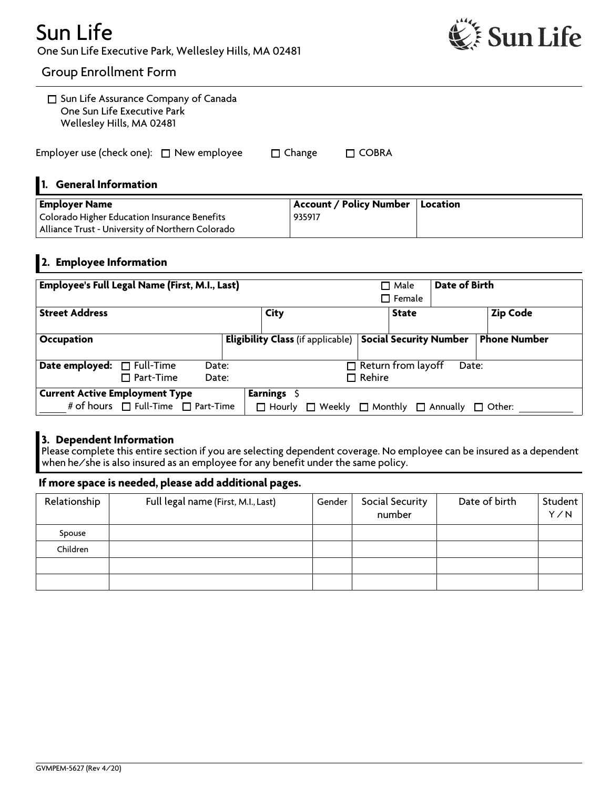## Sun Life One Sun Life Executive Park, Wellesley Hills, MA 02481



### Group Enrollment Form

| 1. General Information<br><b>Employer Name</b>                                                          |               | <b>Account / Policy Number</b><br>Location |  |
|---------------------------------------------------------------------------------------------------------|---------------|--------------------------------------------|--|
| Employer use (check one): $\Box$ New employee                                                           | $\Box$ Change | $\Box$ COBRA                               |  |
| $\Box$ Sun Life Assurance Company of Canada<br>One Sun Life Executive Park<br>Wellesley Hills, MA 02481 |               |                                            |  |

#### Employer Name Colorado Higher Education Insurance Benefits Alliance Trust - University of Northern Colorado Account / Policy Number 935917 Location

### 2. Employee Information

|                                       | <b>Employee's Full Legal Name (First, M.I., Last)</b> |       |               |                                          |                  | $\Box$ Male<br>$\square$ Female | Date of Birth                         |                     |
|---------------------------------------|-------------------------------------------------------|-------|---------------|------------------------------------------|------------------|---------------------------------|---------------------------------------|---------------------|
| <b>Street Address</b>                 |                                                       |       | City          |                                          |                  | <b>State</b>                    |                                       | <b>Zip Code</b>     |
| <b>Occupation</b>                     |                                                       |       |               | <b>Eligibility Class</b> (if applicable) |                  |                                 | <b>Social Security Number</b>         | <b>Phone Number</b> |
| Date employed:                        | $\Box$ Full-Time<br>$\Box$ Part-Time<br>Date:         | Date: |               |                                          | $\square$ Rehire | $\Box$ Return from layoff       | Date:                                 |                     |
| <b>Current Active Employment Type</b> |                                                       |       | Earnings \$   |                                          |                  |                                 |                                       |                     |
|                                       | # of hours $\Box$ Full-Time $\Box$ Part-Time          |       | $\Box$ Hourly |                                          |                  |                                 | Weekly $\Box$ Monthly $\Box$ Annually | $\Box$ Other:       |

### 3. Dependent Information

Please complete this entire section if you are selecting dependent coverage. No employee can be insured as a dependent when he/she is also insured as an employee for any benefit under the same policy.

### If more space is needed, please add additional pages.

| Relationship | Full legal name (First, M.I., Last) | Gender | Social Security<br>number | Date of birth | Student<br>Y/N |
|--------------|-------------------------------------|--------|---------------------------|---------------|----------------|
| Spouse       |                                     |        |                           |               |                |
| Children     |                                     |        |                           |               |                |
|              |                                     |        |                           |               |                |
|              |                                     |        |                           |               |                |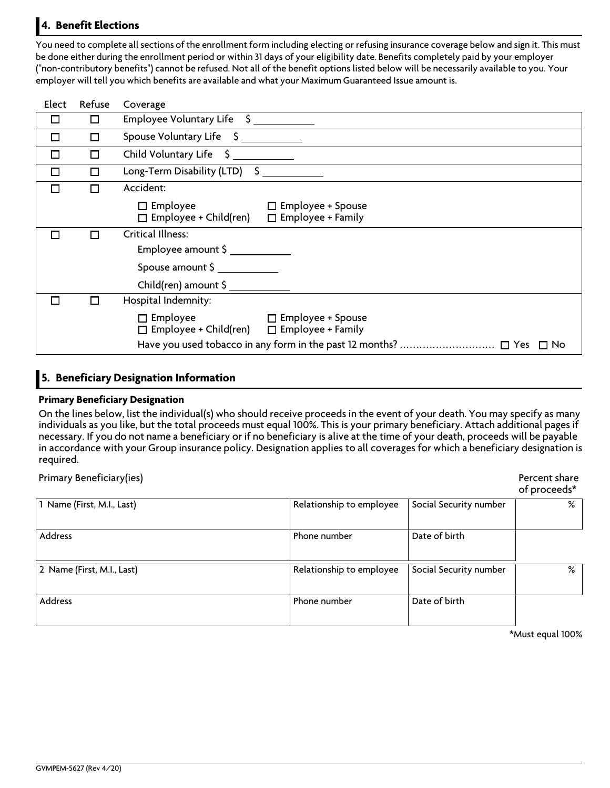### 4. Benefit Elections

You need to complete all sections of the enrollment form including electing or refusing insurance coverage below and sign it. This must be done either during the enrollment period or within 31 days of your eligibility date. Benefits completely paid by your employer ("non-contributory benefits") cannot be refused. Not all of the benefit options listed below will be necessarily available to you. Your employer will tell you which benefits are available and what your Maximum Guaranteed Issue amount is.

| Elect  | Refuse | Coverage                                                                                                   |
|--------|--------|------------------------------------------------------------------------------------------------------------|
|        | $\Box$ | Employee Voluntary Life \$                                                                                 |
| П      | $\Box$ | Spouse Voluntary Life \$                                                                                   |
| $\Box$ | П      | Child Voluntary Life \$                                                                                    |
| $\Box$ | П      | Long-Term Disability (LTD) \$                                                                              |
| П      | П      | Accident:                                                                                                  |
|        |        | $\square$ Employee<br>$\Box$ Employee + Spouse<br>$\Box$ Employee + Family<br>$\Box$ Employee + Child(ren) |
|        |        | Critical Illness:<br>$Employee$ amount $\zeta$                                                             |
|        |        | Spouse amount \$                                                                                           |
|        |        |                                                                                                            |
|        |        | Hospital Indemnity:                                                                                        |
|        |        | $\Box$ Employee<br>$\Box$ Employee + Spouse<br>□ Employee + Child(ren) □ Employee + Family                 |
|        |        | $\Box$ No                                                                                                  |

### 5. Beneficiary Designation Information

### Primary Beneficiary Designation

On the lines below, list the individual(s) who should receive proceeds in the event of your death. You may specify as many individuals as you like, but the total proceeds must equal 100%. This is your primary beneficiary. Attach additional pages if necessary. If you do not name a beneficiary or if no beneficiary is alive at the time of your death, proceeds will be payable in accordance with your Group insurance policy. Designation applies to all coverages for which a beneficiary designation is required.

Primary Beneficiary(ies)

|  | Percent share |
|--|---------------|
|  | of proceeds*  |

| 1 Name (First, M.I., Last) | Relationship to employee | Social Security number | % |
|----------------------------|--------------------------|------------------------|---|
| Address                    | Phone number             | Date of birth          |   |
| 2 Name (First, M.I., Last) | Relationship to employee | Social Security number | % |
| Address                    | Phone number             | Date of birth          |   |

\*Must equal 100%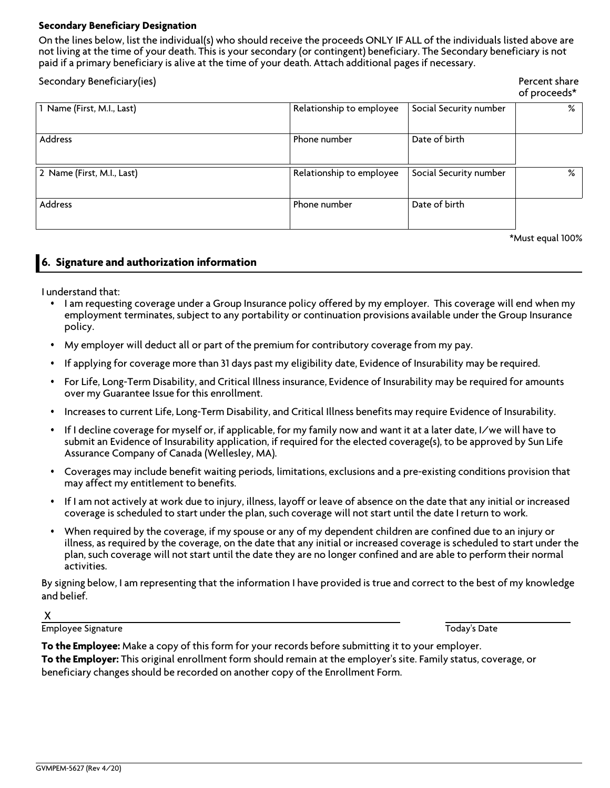### Secondary Beneficiary Designation

On the lines below, list the individual(s) who should receive the proceeds ONLY IF ALL of the individuals listed above are not living at the time of your death. This is your secondary (or contingent) beneficiary. The Secondary beneficiary is not paid if a primary beneficiary is alive at the time of your death. Attach additional pages if necessary.

| Secondary Beneficiary(ies) |                          |                        | Percent share<br>of proceeds* |
|----------------------------|--------------------------|------------------------|-------------------------------|
| 1 Name (First, M.I., Last) | Relationship to employee | Social Security number | %                             |
| Address                    | Phone number             | Date of birth          |                               |
| 2 Name (First, M.I., Last) | Relationship to employee | Social Security number | %                             |
| Address                    | Phone number             | Date of birth          |                               |
|                            |                          |                        | $\frac{1}{2}$                 |

\*Must equal 100%

### 6. Signature and authorization information

I understand that:

- I am requesting coverage under a Group Insurance policy offered by my employer. This coverage will end when my employment terminates, subject to any portability or continuation provisions available under the Group Insurance policy.
- My employer will deduct all or part of the premium for contributory coverage from my pay.
- If applying for coverage more than 31 days past my eligibility date, Evidence of Insurability may be required.
- <sup>ÿ</sup> For Life, Long-Term Disability, and Critical Illness insurance, Evidence of Insurability may be required for amounts over my Guarantee Issue for this enrollment.
- Increases to current Life, Long-Term Disability, and Critical Illness benefits may require Evidence of Insurability.
- If I decline coverage for myself or, if applicable, for my family now and want it at a later date, I/we will have to submit an Evidence of Insurability application, if required for the elected coverage(s), to be approved by Sun Life Assurance Company of Canada (Wellesley, MA).
- <sup>ÿ</sup> Coverages may include benefit waiting periods, limitations, exclusions and a pre-existing conditions provision that may affect my entitlement to benefits.
- If I am not actively at work due to injury, illness, layoff or leave of absence on the date that any initial or increased coverage is scheduled to start under the plan, such coverage will not start until the date I return to work.
- When required by the coverage, if my spouse or any of my dependent children are confined due to an injury or illness, as required by the coverage, on the date that any initial or increased coverage is scheduled to start under the plan, such coverage will not start until the date they are no longer confined and are able to perform their normal activities.

By signing below, I am representing that the information I have provided is true and correct to the best of my knowledge and belief.

X

Employee Signature Today's Date

To the Employee: Make a copy of this form for your records before submitting it to your employer. To the Employer: This original enrollment form should remain at the employer's site. Family status, coverage, or beneficiary changes should be recorded on another copy of the Enrollment Form.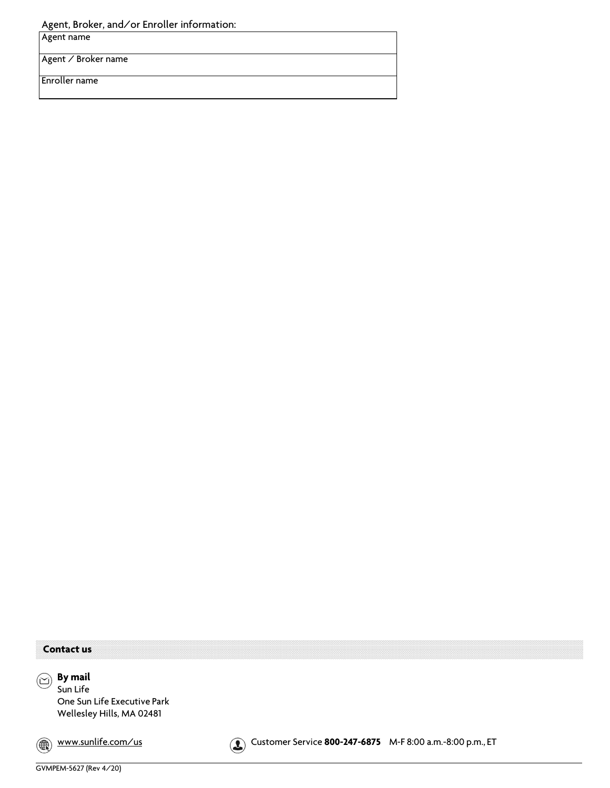Agent, Broker, and/or Enroller information:

Agent name

Agent / Broker name

Enroller name

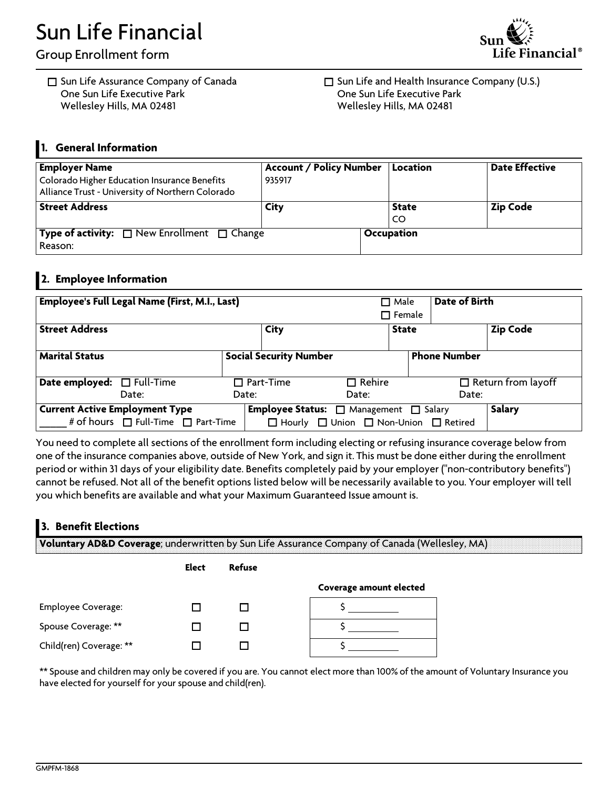# **Sun Life Financial**

**Group Enrollment form**

□ Sun Life Assurance Company of Canada **One Sun Life Executive Park Wellesley Hills, MA 02481**



□ Sun Life and Health Insurance Company (U.S.) **One Sun Life Executive Park Wellesley Hills, MA 02481**

### **1. General Information**

| <b>Employer Name</b><br>Colorado Higher Education Insurance Benefits<br>Alliance Trust - University of Northern Colorado | <b>Account / Policy Number</b><br>935917 | Location           | <b>Date Effective</b> |
|--------------------------------------------------------------------------------------------------------------------------|------------------------------------------|--------------------|-----------------------|
| <b>Street Address</b>                                                                                                    | City                                     | <b>State</b><br>CO | <b>Zip Code</b>       |
| <b>Type of activity:</b> $\Box$ New Enrollment $\Box$ Change<br>Reason:                                                  |                                          | Occupation         |                       |

### **2. Employee Information**

| Employee's Full Legal Name (First, M.I., Last)                                        |                               | $\Box$ Male<br>$\Box$ Female                                                                                | Date of Birth                      |
|---------------------------------------------------------------------------------------|-------------------------------|-------------------------------------------------------------------------------------------------------------|------------------------------------|
| <b>Street Address</b>                                                                 | City                          | <b>State</b>                                                                                                | <b>Zip Code</b>                    |
| <b>Marital Status</b>                                                                 | <b>Social Security Number</b> |                                                                                                             | <b>Phone Number</b>                |
| <b>Date employed:</b> □ Full-Time<br>Date:                                            | $\Box$ Part-Time<br>Date:     | $\Box$ Rehire<br>Date:                                                                                      | $\Box$ Return from layoff<br>Date: |
| <b>Current Active Employment Type</b><br># of hours $\Box$ Full-Time $\Box$ Part-Time |                               | <b>Employee Status:</b> □ Management □ Salary<br>$\Box$ Hourly $\Box$ Union $\Box$ Non-Union $\Box$ Retired | Salary                             |

You need to complete all sections of the enrollment form including electing or refusing insurance coverage below from one of the insurance companies above, outside of New York, and sign it. This must be done either during the enrollment period or within 31 days of your eligibility date. Benefits completely paid by your employer ("non-contributory benefits") cannot be refused. Not all of the benefit options listed below will be necessarily available to you. Your employer will tell **you which benefits are available and what your Maximum Guaranteed Issue amount is.**

### **3. Benefit Elections**

**Voluntary AD&D Coverage; underwritten by Sun Life Assurance Company of Canada (Wellesley, MA)**

|                           | Elect | Refuse |                         |
|---------------------------|-------|--------|-------------------------|
|                           |       |        | Coverage amount elected |
| <b>Employee Coverage:</b> |       |        |                         |
| Spouse Coverage: **       |       |        |                         |
| Child(ren) Coverage: **   |       |        |                         |

\*\* Spouse and children may only be covered if you are. You cannot elect more than 100% of the amount of Voluntary Insurance you **have elected for yourself for your spouse and child(ren).**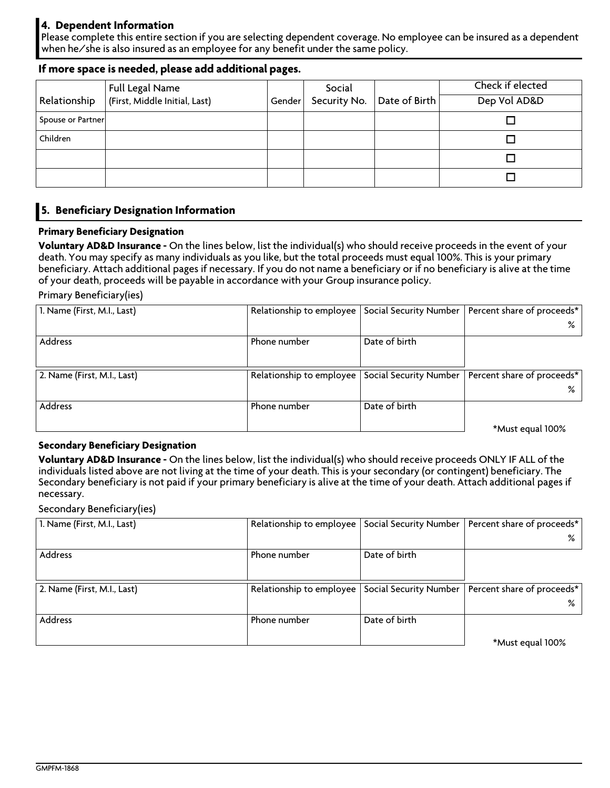### **4. Dependent Information**

Please complete this entire section if you are selecting dependent coverage. No employee can be insured as a dependent **when he/she is also insured as an employee for any benefit under the same policy.**

### **If more space is needed, please add additional pages.**

|                   | Full Legal Name               |        | Social       |               | Check if elected |
|-------------------|-------------------------------|--------|--------------|---------------|------------------|
| Relationship      | (First, Middle Initial, Last) | Gender | Security No. | Date of Birth | Dep Vol AD&D     |
| Spouse or Partner |                               |        |              |               |                  |
| Children          |                               |        |              |               |                  |
|                   |                               |        |              |               |                  |
|                   |                               |        |              |               |                  |

### **5. Beneficiary Designation Information**

### **Primary Beneficiary Designation**

Voluntary AD&D Insurance - On the lines below, list the individual(s) who should receive proceeds in the event of your death. You may specify as many individuals as you like, but the total proceeds must equal 100%. This is your primary beneficiary. Attach additional pages if necessary. If you do not name a beneficiary or if no beneficiary is alive at the time **of your death, proceeds will be payable in accordance with your Group insurance policy.**

**Primary Beneficiary(ies)**

| 1. Name (First, M.I., Last) | Relationship to employee |               | Social Security Number   Percent share of proceeds* |
|-----------------------------|--------------------------|---------------|-----------------------------------------------------|
|                             |                          |               |                                                     |
| Address                     | Phone number             | Date of birth |                                                     |
|                             |                          |               |                                                     |
| 2. Name (First, M.I., Last) | Relationship to employee |               | Social Security Number   Percent share of proceeds* |
|                             |                          |               |                                                     |
| Address                     | Phone number             | Date of birth |                                                     |
|                             |                          |               | *Must equal 100%                                    |

### **Secondary Beneficiary Designation**

Voluntary AD&D Insurance - On the lines below, list the individual(s) who should receive proceeds ONLY IF ALL of the individuals listed above are not living at the time of your death. This is your secondary (or contingent) beneficiary. The Secondary beneficiary is not paid if your primary beneficiary is alive at the time of your death. Attach additional pages if **necessary.**

**Secondary Beneficiary(ies)**

| 1. Name (First, M.I., Last) | Relationship to employee |               | Social Security Number   Percent share of proceeds* |
|-----------------------------|--------------------------|---------------|-----------------------------------------------------|
|                             |                          |               | ℅                                                   |
| Address                     | Phone number             | Date of birth |                                                     |
|                             |                          |               |                                                     |
| 2. Name (First, M.I., Last) | Relationship to employee |               | Social Security Number   Percent share of proceeds* |
|                             |                          |               | %                                                   |
| Address                     | Phone number             | Date of birth |                                                     |
|                             |                          |               | *Must equal 100%                                    |